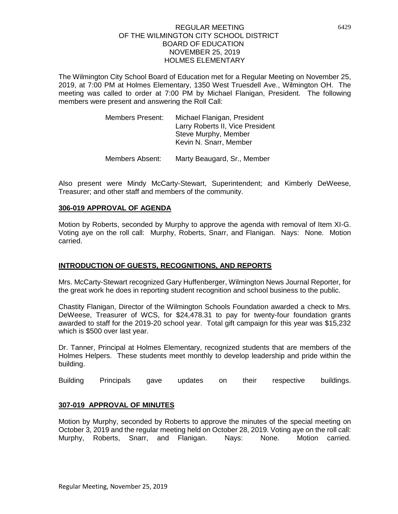The Wilmington City School Board of Education met for a Regular Meeting on November 25, 2019, at 7:00 PM at Holmes Elementary, 1350 West Truesdell Ave., Wilmington OH. The meeting was called to order at 7:00 PM by Michael Flanigan, President. The following members were present and answering the Roll Call:

| <b>Members Present:</b> | Michael Flanigan, President      |
|-------------------------|----------------------------------|
|                         | Larry Roberts II, Vice President |
|                         | Steve Murphy, Member             |
|                         | Kevin N. Snarr, Member           |
|                         |                                  |

Members Absent: Marty Beaugard, Sr., Member

Also present were Mindy McCarty-Stewart, Superintendent; and Kimberly DeWeese, Treasurer; and other staff and members of the community.

### **306-019 APPROVAL OF AGENDA**

Motion by Roberts, seconded by Murphy to approve the agenda with removal of Item XI-G. Voting aye on the roll call: Murphy, Roberts, Snarr, and Flanigan. Nays: None. Motion carried.

# **INTRODUCTION OF GUESTS, RECOGNITIONS, AND REPORTS**

Mrs. McCarty-Stewart recognized Gary Huffenberger, Wilmington News Journal Reporter, for the great work he does in reporting student recognition and school business to the public.

Chastity Flanigan, Director of the Wilmington Schools Foundation awarded a check to Mrs. DeWeese, Treasurer of WCS, for \$24,478.31 to pay for twenty-four foundation grants awarded to staff for the 2019-20 school year. Total gift campaign for this year was \$15,232 which is \$500 over last year.

Dr. Tanner, Principal at Holmes Elementary, recognized students that are members of the Holmes Helpers. These students meet monthly to develop leadership and pride within the building.

Building Principals gave updates on their respective buildings.

# **307-019 APPROVAL OF MINUTES**

Motion by Murphy, seconded by Roberts to approve the minutes of the special meeting on October 3, 2019 and the regular meeting held on October 28, 2019. Voting aye on the roll call: Murphy, Roberts, Snarr, and Flanigan. Nays: None. Motion carried.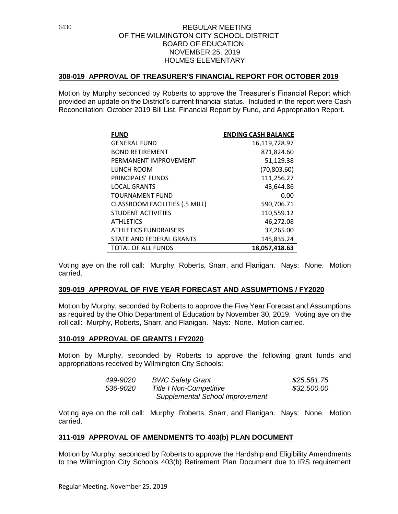## **308-019 APPROVAL OF TREASURER'S FINANCIAL REPORT FOR OCTOBER 2019**

Motion by Murphy seconded by Roberts to approve the Treasurer's Financial Report which provided an update on the District's current financial status. Included in the report were Cash Reconciliation; October 2019 Bill List, Financial Report by Fund, and Appropriation Report.

| <b>FUND</b>                           | <b>ENDING CASH BALANCE</b> |
|---------------------------------------|----------------------------|
| <b>GENERAL FUND</b>                   | 16,119,728.97              |
| <b>BOND RETIREMENT</b>                | 871,824.60                 |
| PERMANENT IMPROVEMENT                 | 51,129.38                  |
| LUNCH ROOM                            | (70,803.60)                |
| PRINCIPALS' FUNDS                     | 111,256.27                 |
| <b>LOCAL GRANTS</b>                   | 43,644.86                  |
| <b>TOURNAMENT FUND</b>                | 0.00                       |
| <b>CLASSROOM FACILITIES (.5 MILL)</b> | 590,706.71                 |
| <b>STUDENT ACTIVITIES</b>             | 110,559.12                 |
| <b>ATHLETICS</b>                      | 46,272.08                  |
| <b>ATHLETICS FUNDRAISERS</b>          | 37,265.00                  |
| STATE AND FEDERAL GRANTS              | 145.835.24                 |
| <b>TOTAL OF ALL FUNDS</b>             | 18.057.418.63              |

Voting aye on the roll call: Murphy, Roberts, Snarr, and Flanigan. Nays: None. Motion carried.

### **309-019 APPROVAL OF FIVE YEAR FORECAST AND ASSUMPTIONS / FY2020**

Motion by Murphy, seconded by Roberts to approve the Five Year Forecast and Assumptions as required by the Ohio Department of Education by November 30, 2019. Voting aye on the roll call: Murphy, Roberts, Snarr, and Flanigan. Nays: None. Motion carried.

### **310-019 APPROVAL OF GRANTS / FY2020**

Motion by Murphy, seconded by Roberts to approve the following grant funds and appropriations received by Wilmington City Schools:

| 499-9020 | <b>BWC Safety Grant</b>         | \$25,581.75 |
|----------|---------------------------------|-------------|
| 536-9020 | <b>Title I Non-Competitive</b>  | \$32,500.00 |
|          | Supplemental School Improvement |             |

Voting aye on the roll call: Murphy, Roberts, Snarr, and Flanigan. Nays: None. Motion carried.

# **311-019 APPROVAL OF AMENDMENTS TO 403(b) PLAN DOCUMENT**

Motion by Murphy, seconded by Roberts to approve the Hardship and Eligibility Amendments to the Wilmington City Schools 403(b) Retirement Plan Document due to IRS requirement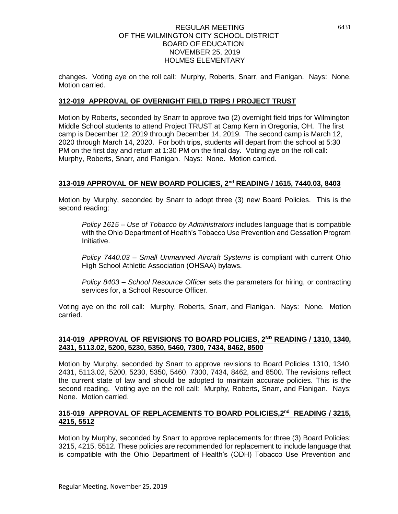changes. Voting aye on the roll call: Murphy, Roberts, Snarr, and Flanigan. Nays: None. Motion carried.

# **312-019 APPROVAL OF OVERNIGHT FIELD TRIPS / PROJECT TRUST**

Motion by Roberts, seconded by Snarr to approve two (2) overnight field trips for Wilmington Middle School students to attend Project TRUST at Camp Kern in Oregonia, OH. The first camp is December 12, 2019 through December 14, 2019. The second camp is March 12, 2020 through March 14, 2020. For both trips, students will depart from the school at 5:30 PM on the first day and return at 1:30 PM on the final day. Voting aye on the roll call: Murphy, Roberts, Snarr, and Flanigan. Nays: None. Motion carried.

# **313-019 APPROVAL OF NEW BOARD POLICIES, 2nd READING / 1615, 7440.03, 8403**

Motion by Murphy, seconded by Snarr to adopt three (3) new Board Policies. This is the second reading:

*Policy 1615 – Use of Tobacco by Administrators* includes language that is compatible with the Ohio Department of Health's Tobacco Use Prevention and Cessation Program Initiative.

*Policy 7440.03 – Small Unmanned Aircraft Systems* is compliant with current Ohio High School Athletic Association (OHSAA) bylaws.

*Policy 8403 – School Resource Officer* sets the parameters for hiring, or contracting services for, a School Resource Officer.

Voting aye on the roll call: Murphy, Roberts, Snarr, and Flanigan. Nays: None. Motion carried.

## **314-019 APPROVAL OF REVISIONS TO BOARD POLICIES, 2ND READING / 1310, 1340, 2431, 5113.02, 5200, 5230, 5350, 5460, 7300, 7434, 8462, 8500**

Motion by Murphy, seconded by Snarr to approve revisions to Board Policies 1310, 1340, 2431, 5113.02, 5200, 5230, 5350, 5460, 7300, 7434, 8462, and 8500. The revisions reflect the current state of law and should be adopted to maintain accurate policies. This is the second reading. Voting aye on the roll call: Murphy, Roberts, Snarr, and Flanigan. Nays: None. Motion carried.

## **315-019 APPROVAL OF REPLACEMENTS TO BOARD POLICIES,2 nd READING / 3215, 4215, 5512**

Motion by Murphy, seconded by Snarr to approve replacements for three (3) Board Policies: 3215, 4215, 5512. These policies are recommended for replacement to include language that is compatible with the Ohio Department of Health's (ODH) Tobacco Use Prevention and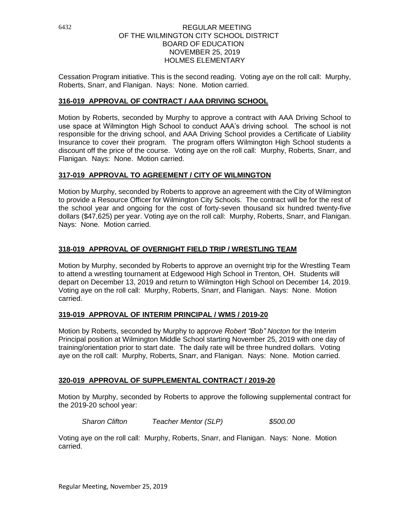Cessation Program initiative. This is the second reading. Voting aye on the roll call: Murphy, Roberts, Snarr, and Flanigan. Nays: None. Motion carried.

# **316-019 APPROVAL OF CONTRACT / AAA DRIVING SCHOOL**

Motion by Roberts, seconded by Murphy to approve a contract with AAA Driving School to use space at Wilmington High School to conduct AAA's driving school. The school is not responsible for the driving school, and AAA Driving School provides a Certificate of Liability Insurance to cover their program. The program offers Wilmington High School students a discount off the price of the course. Voting aye on the roll call: Murphy, Roberts, Snarr, and Flanigan. Nays: None. Motion carried.

# **317-019 APPROVAL TO AGREEMENT / CITY OF WILMINGTON**

Motion by Murphy, seconded by Roberts to approve an agreement with the City of Wilmington to provide a Resource Officer for Wilmington City Schools. The contract will be for the rest of the school year and ongoing for the cost of forty-seven thousand six hundred twenty-five dollars (\$47,625) per year. Voting aye on the roll call: Murphy, Roberts, Snarr, and Flanigan. Nays: None. Motion carried.

# **318-019 APPROVAL OF OVERNIGHT FIELD TRIP / WRESTLING TEAM**

Motion by Murphy, seconded by Roberts to approve an overnight trip for the Wrestling Team to attend a wrestling tournament at Edgewood High School in Trenton, OH. Students will depart on December 13, 2019 and return to Wilmington High School on December 14, 2019. Voting aye on the roll call: Murphy, Roberts, Snarr, and Flanigan. Nays: None. Motion carried.

# **319-019 APPROVAL OF INTERIM PRINCIPAL / WMS / 2019-20**

Motion by Roberts, seconded by Murphy to approve *Robert "Bob" Nocton* for the Interim Principal position at Wilmington Middle School starting November 25, 2019 with one day of training/orientation prior to start date. The daily rate will be three hundred dollars. Voting aye on the roll call: Murphy, Roberts, Snarr, and Flanigan. Nays: None. Motion carried.

# **320-019 APPROVAL OF SUPPLEMENTAL CONTRACT / 2019-20**

Motion by Murphy, seconded by Roberts to approve the following supplemental contract for the 2019-20 school year:

*Sharon Clifton Teacher Mentor (SLP) \$500.00*

Voting aye on the roll call: Murphy, Roberts, Snarr, and Flanigan. Nays: None. Motion carried.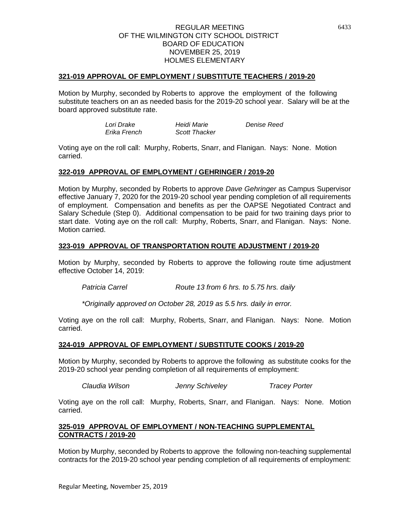## **321-019 APPROVAL OF EMPLOYMENT / SUBSTITUTE TEACHERS / 2019-20**

Motion by Murphy, seconded by Roberts to approve the employment of the following substitute teachers on an as needed basis for the 2019-20 school year. Salary will be at the board approved substitute rate.

> *Lori Drake Heidi Marie Denise Reed Erika French Scott Thacker*

Voting aye on the roll call: Murphy, Roberts, Snarr, and Flanigan. Nays: None. Motion carried.

### **322-019 APPROVAL OF EMPLOYMENT / GEHRINGER / 2019-20**

Motion by Murphy, seconded by Roberts to approve *Dave Gehringer* as Campus Supervisor effective January 7, 2020 for the 2019-20 school year pending completion of all requirements of employment. Compensation and benefits as per the OAPSE Negotiated Contract and Salary Schedule (Step 0). Additional compensation to be paid for two training days prior to start date. Voting aye on the roll call: Murphy, Roberts, Snarr, and Flanigan. Nays: None. Motion carried.

## **323-019 APPROVAL OF TRANSPORTATION ROUTE ADJUSTMENT / 2019-20**

Motion by Murphy, seconded by Roberts to approve the following route time adjustment effective October 14, 2019:

*Patricia Carrel Route 13 from 6 hrs. to 5.75 hrs. daily*

*\*Originally approved on October 28, 2019 as 5.5 hrs. daily in error.*

Voting aye on the roll call: Murphy, Roberts, Snarr, and Flanigan. Nays: None. Motion carried.

# **324-019 APPROVAL OF EMPLOYMENT / SUBSTITUTE COOKS / 2019-20**

Motion by Murphy, seconded by Roberts to approve the following as substitute cooks for the 2019-20 school year pending completion of all requirements of employment:

*Claudia Wilson Jenny Schiveley Tracey Porter*

Voting aye on the roll call: Murphy, Roberts, Snarr, and Flanigan. Nays: None. Motion carried.

## **325-019 APPROVAL OF EMPLOYMENT / NON-TEACHING SUPPLEMENTAL CONTRACTS / 2019-20**

Motion by Murphy, seconded by Roberts to approve the following non-teaching supplemental contracts for the 2019-20 school year pending completion of all requirements of employment: